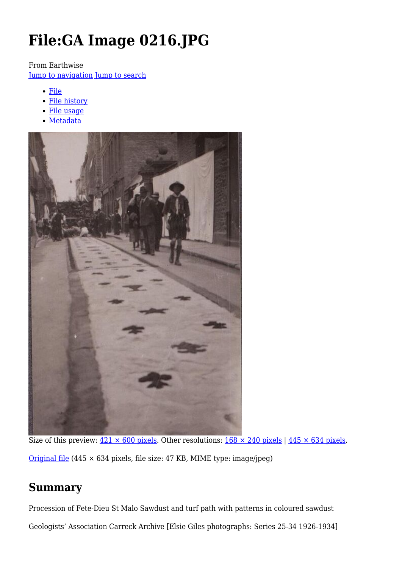# **File:GA Image 0216.JPG**

From Earthwise

[Jump to navigation](#page--1-0) [Jump to search](#page--1-0)

- [File](#page--1-0)
- [File history](#page--1-0)
- [File usage](#page--1-0)
- [Metadata](#page--1-0)



Size of this preview:  $421 \times 600$  pixels. Other resolutions:  $168 \times 240$  pixels |  $445 \times 634$  pixels. [Original file](http://earthwise.bgs.ac.uk/images/6/6a/GA_Image_0216.JPG) (445 × 634 pixels, file size: 47 KB, MIME type: image/jpeg)

# **Summary**

Procession of Fete-Dieu St Malo Sawdust and turf path with patterns in coloured sawdust Geologists' Association Carreck Archive [Elsie Giles photographs: Series 25-34 1926-1934]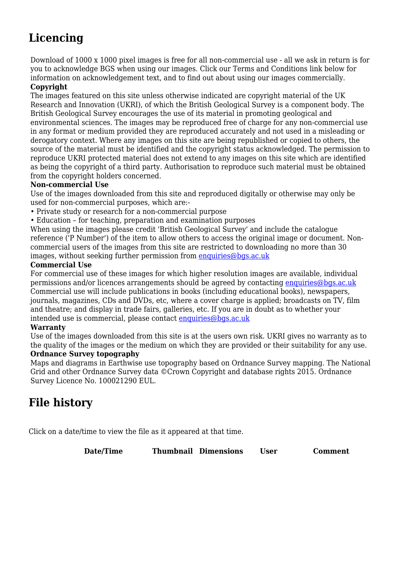# **Licencing**

Download of 1000 x 1000 pixel images is free for all non-commercial use - all we ask in return is for you to acknowledge BGS when using our images. Click our Terms and Conditions link below for information on acknowledgement text, and to find out about using our images commercially.

#### **Copyright**

The images featured on this site unless otherwise indicated are copyright material of the UK Research and Innovation (UKRI), of which the British Geological Survey is a component body. The British Geological Survey encourages the use of its material in promoting geological and environmental sciences. The images may be reproduced free of charge for any non-commercial use in any format or medium provided they are reproduced accurately and not used in a misleading or derogatory context. Where any images on this site are being republished or copied to others, the source of the material must be identified and the copyright status acknowledged. The permission to reproduce UKRI protected material does not extend to any images on this site which are identified as being the copyright of a third party. Authorisation to reproduce such material must be obtained from the copyright holders concerned.

#### **Non-commercial Use**

Use of the images downloaded from this site and reproduced digitally or otherwise may only be used for non-commercial purposes, which are:-

- Private study or research for a non-commercial purpose
- Education for teaching, preparation and examination purposes

When using the images please credit 'British Geological Survey' and include the catalogue reference ('P Number') of the item to allow others to access the original image or document. Noncommercial users of the images from this site are restricted to downloading no more than 30 images, without seeking further permission from [enquiries@bgs.ac.uk](mailto:enquiries@bgs.ac.uk)

#### **Commercial Use**

For commercial use of these images for which higher resolution images are available, individual permissions and/or licences arrangements should be agreed by contacting [enquiries@bgs.ac.uk](mailto:enquiries@bgs.ac.uk) Commercial use will include publications in books (including educational books), newspapers, journals, magazines, CDs and DVDs, etc, where a cover charge is applied; broadcasts on TV, film and theatre; and display in trade fairs, galleries, etc. If you are in doubt as to whether your intended use is commercial, please contact [enquiries@bgs.ac.uk](mailto:enquiries@bgs.ac.uk)

#### **Warranty**

Use of the images downloaded from this site is at the users own risk. UKRI gives no warranty as to the quality of the images or the medium on which they are provided or their suitability for any use.

#### **Ordnance Survey topography**

Maps and diagrams in Earthwise use topography based on Ordnance Survey mapping. The National Grid and other Ordnance Survey data ©Crown Copyright and database rights 2015. Ordnance Survey Licence No. 100021290 EUL.

# **File history**

Click on a date/time to view the file as it appeared at that time.

**Date/Time Thumbnail Dimensions User Comment**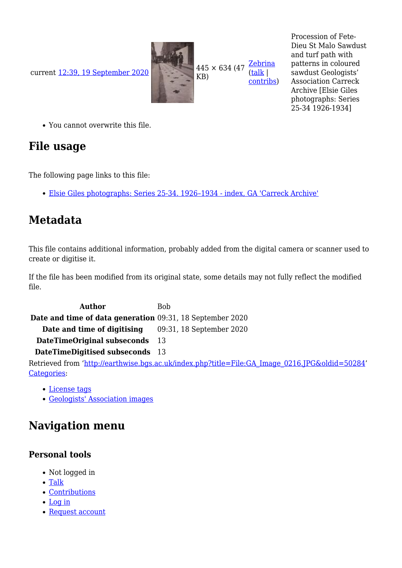current [12:39, 19 September 2020](http://earthwise.bgs.ac.uk/images/6/6a/GA_Image_0216.JPG)



**[Zebrina](http://earthwise.bgs.ac.uk/index.php?title=User:Zebrina&action=edit&redlink=1)** [\(talk](http://earthwise.bgs.ac.uk/index.php?title=User_talk:Zebrina&action=edit&redlink=1) | [contribs](http://earthwise.bgs.ac.uk/index.php/Special:Contributions/Zebrina)) Procession of Fete-Dieu St Malo Sawdust and turf path with patterns in coloured sawdust Geologists' Association Carreck Archive [Elsie Giles photographs: Series 25-34 1926-1934]

You cannot overwrite this file.

### **File usage**

The following page links to this file:

[Elsie Giles photographs: Series 25-34. 1926–1934 - index, GA 'Carreck Archive'](http://earthwise.bgs.ac.uk/index.php/Elsie_Giles_photographs:_Series_25-34._1926%E2%80%931934_-_index,_GA_%27Carreck_Archive%27)

# **Metadata**

This file contains additional information, probably added from the digital camera or scanner used to create or digitise it.

If the file has been modified from its original state, some details may not fully reflect the modified file.

Author Bob **Date and time of data generation** 09:31, 18 September 2020 **Date and time of digitising** 09:31, 18 September 2020 **DateTimeOriginal subseconds** 13 **DateTimeDigitised subseconds** 13

Retrieved from ['http://earthwise.bgs.ac.uk/index.php?title=File:GA\\_Image\\_0216.JPG&oldid=50284](http://earthwise.bgs.ac.uk/index.php?title=File:GA_Image_0216.JPG&oldid=50284)' [Categories:](http://earthwise.bgs.ac.uk/index.php/Special:Categories)

- [License tags](http://earthwise.bgs.ac.uk/index.php/Category:License_tags)
- [Geologists' Association images](http://earthwise.bgs.ac.uk/index.php/Category:Geologists%27_Association_images)

# **Navigation menu**

### **Personal tools**

- Not logged in
- [Talk](http://earthwise.bgs.ac.uk/index.php/Special:MyTalk)
- [Contributions](http://earthwise.bgs.ac.uk/index.php/Special:MyContributions)
- [Log in](http://earthwise.bgs.ac.uk/index.php?title=Special:UserLogin&returnto=File%3AGA+Image+0216.JPG&returntoquery=action%3Dmpdf)
- [Request account](http://earthwise.bgs.ac.uk/index.php/Special:RequestAccount)